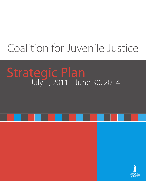# Coalition for Juvenile Justice

# Strategic Plan<br>July 1, 2011 - June 30, 2014

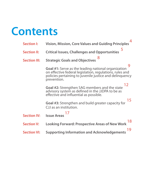

|                     | 4                                                                                                                                                                                                     |
|---------------------|-------------------------------------------------------------------------------------------------------------------------------------------------------------------------------------------------------|
| <b>Section I:</b>   | Vision, Mission, Core Values and Guiding Principles                                                                                                                                                   |
| <b>Section II:</b>  | 5<br><b>Critical Issues, Challenges and Opportunities</b>                                                                                                                                             |
| <b>Section III:</b> | 8<br><b>Strategic Goals and Objectives</b>                                                                                                                                                            |
|                     | 9<br><b>Goal #1:</b> Serve as the leading national organization<br>on effective federal legislation, regulations, rules and<br>policies pertaining to juvenile justice and delinguency<br>prevention. |
|                     | 12<br>Goal #2: Strengthen SAG members and the state<br>advisory system as defined in the JJDPA to be as<br>effective and influential as possible.                                                     |
|                     | 15<br>Goal #3: Strengthen and build greater capacity for<br>CJJ as an institution.                                                                                                                    |
| <b>Section IV:</b>  | <b>Issue Areas</b>                                                                                                                                                                                    |
| <b>Section V:</b>   | 18<br><b>Looking Forward: Prospective Areas of New Work</b>                                                                                                                                           |
| <b>Section VI:</b>  | 19<br><b>Supporting Information and Acknowledgements</b>                                                                                                                                              |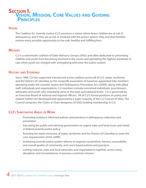### **Section I. Vision, Mission, Core Values and Guiding Principles**

#### **Vision**

The Coalition for Juvenile Justice (CJJ) envisions a nation where fewer children are at risk of delinquency; and if they are at risk or involved with the justice system, they and their families receive every possible opportunity to live safe, healthy and fulfilling lives.

#### **Mission**

CJJ is a nationwide coalition of State Advisory Groups (SAGs) and allies dedicated to preventing children and youth from becoming involved in the courts and upholding the highest standards of care when youth are charged with wrongdoing and enter the justice system.

#### **History and Standing**

Since 1984, CJJ has supported a broad and active coalition across all 56 U.S. states, territories and the District of Columbia, as the nonprofit association of Governor-appointed SAG members operating under the Juvenile Justice and Delinquency Prevention Act (JJDPA), along with allied staff, individuals and organizations. CJJ members include concerned individuals, practitioners, advocates and youth who voluntarily serve at the state and national levels. CJJ is governed by an Executive Board of national and regional officers. All of CJJ's formal positions on policy and related matters are developed and approved by a super-majority of the CJJ Council of SAGs. The Council comprises the Chairs or Chair-designees of SAGs holding membership in CJJ.

#### **CJJ's Substantive Areas of Work**

- Promoting evidence-informed policies and practices in delinquency reduction and prevention.
- Educating the public and advising government on urgent state and local issues and needs in federal juvenile justice policy.
- Assisting the states (inclusive of states, territories and the District of Columbia to meet the core requirements of the JJDPA.
- Instituting juvenile justice system reforms to improve racial/ethnic fairness, accessibility and overall quality of community, and court-based policies and practices.
- Linking national, state and local advocates and organizations together, across many disciplines and circumstances, to pursue a common mission. •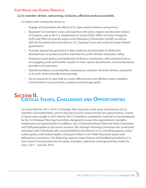#### **Core Values and Guiding Principles**

#### *CJJ is member-driven, welcoming, inclusive, effective and accountable.*

CJJ values and consistently strives to:

- Engage and strengthen the efforts of its state-based members and partners. •
- Represent CJJ members' views and expertise with policy makers and decision makers in Congress, and at the U.S. Department of Justice (DOJ), Office of Justice Programs (OJP) and Office of Juvenile Justice and Delinquency Prevention (OJJDP), as well as with the President, Executive Branch, U.S. Supreme Court and across the larger federal government.
- Promote approaches grounded in data, evidence and principles of adolescent development, to produce positive outcomes for youth, families and public safety. •
- Emphasize participation and leadership of diverse constituents, with intentional focus on engaging youth and families, leaders of color, system practitioners, community-based providers and advocates.
- Uphold excellence, accountability, transparency, inclusion, diversity, fairness and justice in its work, both internally and externally.
- Use its resources in ways that are smart, effective and cost-efficient, with a steadfast •commitment to core principles, positions and strategic goals.

## **Section II. Critical Issues, Challenges and Opportunities**

To ensure that the 2011-2014 CJJ Strategic Plan responds to the goals and interests of CJJ members and stakeholders, and to take into account various trends and opportunities, a series of inputs were sought in 2010. Nearly 300 CJJ members completed a national survey developed by the CJJ Strategic Planning Committee, designed to assess the organization's strengths, weaknesses and opportunities. In addition, the CJJ Executive Board, National Youth Committee and Staff participated in discussion sessions. The Strategic Planning Committee also conducted interviews with individuals with strong familiarity and interest in CJJ, including experts, policy makers/policy staff, federal leaders and grant makers in the fields of juvenile justice and delinquency prevention. The following captures major themes and feedback provided to CJJ. Such input is incorporated into the goals, strategies, objectives and expected key results for July 1, 2011 - June 30, 2014.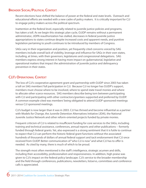#### **Broader Social/Political Context**

Recent elections have shifted the balance of power at the federal and state levels. Outreach and educational efforts are needed with a new cadre of policy makers. It is critically important for CJJ to engage policy makers across the political spectrum.

Inattention at the federal level, especially related to juvenile justice policies and programs, has taken a toll. As we begin this strategic plan cycle, OJJDP remains without a permanent administrator, JJDPA reauthorization has stalled, decreases in federal juvenile justice appropriations to states continue despite increased costs and apparent needs, and punitive legislation pertaining to youth continues to be introduced by members of Congress.

SAGs vary in their organization and position, yet frequently cited concerns voiced by SAG members include overall lack of visibility, leverage and influence for SAGs in their own states, including, at times, with their governors, legislatures and congressional delegations. SAG members express strong interest in having more impact on gubernatorial, legislative and operational matters that impact the administration of juvenile justice and delinquency prevention in their states.

#### **CJJ's Operational Context**

The loss of CJJ's cooperative agreement grant and partnership with OJJDP since 2003 has taken a toll on SAG members' full participation in CJJ. Because CJJ no longer has OJJDP's support, members must choose where to be involved, where to spend state travel monies and where to allocate other scarce resources. SAG members describe being torn between participating with CJJ and participating with other contractors/grantees supported and preferred by OJJDP. A common example cited was members' being obligated to attend OJJDP sponsored meetings versus CJJ sponsored meetings.

CJJ's budget is now larger than it was in 2003. CJJ has thrived and become influential as a partner with Models for Change, the Juvenile Detention Alternatives Initiative (JDAI), the National Juvenile Justice Network and other reform-oriented projects funded by private monies.

Frequent criticism of CJJ is related to insufficient funding for core services to the SAGs, including training and technical assistance, conferences, annual reports and other publications -- formerly funded through federal grants. Yet, also expressed is a strong sentiment that it is futile to continue to expect that CJJ can perform the historic federal grant functions without the associated hundreds of thousands of dollars of annual federal support and tacit endorsement that CJJ once received from OJJDP. Better communication of "who CJJ is now" and what CJJ has to offer is needed. As cited by many, there is much of which to be proud.

The strength most often mentioned is the staff's intelligence, strategic acumen and skills, including their accessibility, professionalism and responsiveness. In addition, high praise was given to CJJ's impact on the federal policy landscape. CJJ's service to the broader membership and the field through conferences, publications, newsletters, listservs, committees and conference calls is appreciated.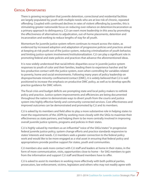#### **Critical Opportunities**

There is growing recognition that juvenile detention, correctional and residential facilities are largely populated by youth with multiple needs who are at low risk of chronic, repeated offending. Coupled with continued declines in rates of violent offending by juveniles, this is stimulating greater nationwide focus on reducing over-reliance on detention/incarceration as a primary approach to delinquency. CJJ can exert more leadership in this area by promoting the effectiveness of alternatives to adjudication, out-of-home placements, detention and incarceration and working to reduce lengths of stay for all youth.

Momentum for juvenile justice system reform continues to mount across the states, as evidenced by increased adoption and adaptation of progressive policies and practices aimed at keeping at-risk youth out of the justice system, reducing criminalization of youth behavior, and limiting justice-system involvement/institutionalization. CJJ can play a significant role in promoting federal and state policies and practices that advance the aforementioned ideas.

It is now widely understood that racial/ethnic disparities occur in juvenile justice system responses to youth of color and their families, leading them to experience harsher and far less productive contact with the justice system, even when controlling for variables related to poverty, home and social environments. Following many years of policy leadership on disproportionate minority confinement/contact (DMC), it is widely believed that CJJ is well positioned to increase the emphasis on productive DMC policy, as well as to develop specific practice guidance for DMC reform.

The fiscal crisis and budget deficits are prompting state and local policy makers to rethink policy and practice. Justice system improvements and efficiencies are being documented throughout the nation to demonstrate ways to divert youth from the courts and justice system into highly effective family and community-connected services. Cost effectiveness and improved outcomes can be demonstrated and promoted by CJJ and its members.

CJJ is asked by its members and field allies to play a more substantive role in helping states to meet the requirements of the JJDPA by working more closely with the SAGs to maximize their effectiveness as state partners, and helping them to be more centrally involved in improving overall juvenile justice systems, programs and policies in their states.

CJJ is highly valued by members as an influential "voice of the SAGs/states" in progressive federal juvenile justice policy, system change efforts and practice standards responsive to states' interests and needs. CJJ members seek a greater connection to the federal policy work and would like to be more engaged as a vital asset in ensuring that federal policy and appropriations provide positive support for states, youth and communities.

CJJ members also seek more contact with CJJ staff and leaders at home in their states, in the form of more communication, visits, opportunities close to home – for SAG members to gain from the information and support CJJ staff and Board members have to offer.

CJJ is asked to assist its members in working more effectively with both political parties, prosecutors, law enforcement, victims, legislators and others who may not readily agree with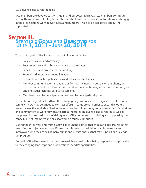CJJ's juvenile justice reform goals.

SAG members are devoted to CJJ, its goals and purposes. Each year, CJJ members contribute tens of thousands of voluntary hours, thousands of dollars in personal contributions, and engage in the organization's work in ever-increasing numbers. This is to be celebrated and further supported.

### **Section III. Strategic Goals and Objectives for July 1, 2011 - June 30, 2014**

To reach its goals, CJJ will emphasize the following activities:

- Policy education and advocacy. •
- Peer assistance and technical assistance to the states. •
- Peer-to-peer and professional networking. •
- Federal and intergovernmental relations. •
- Research-to-practice publications and educational activities. •
- Member communications in a range of formats, including in person, on the phone, on listservs and email, on teleconferences and webinars, in training conferences, and via group and individual technical assistance sessions. •
- Member-driven leadership committees and leadership development. •

The ambitious agenda set forth on the following pages requires CJJ to align and use its resources carefully. There may be a need to contract efforts in some areas in order to expand in others. Nevertheless, the work described in the sections that follow is ongoing and reflects CJJ's priorities and commitment to working with and across the states on juvenile justice reform, as well as the prevention and reduction of delinquency. CJJ is committed to building and supporting the capacity of SAG members and allies to work on multiple priorities.

During the three-year time frame, CJJ will face unanticipated challenges and opportunities that may affect its objectives and specific measurable results. In addition, our ultimate success is interwoven with the actions of many public and private entities that may support or challenge our progress.

Annually, CJJ will evaluate its progress toward these goals, while being responsive and proactive to the changing landscape and organizational needs/opportunities.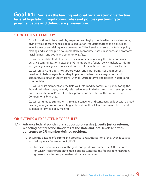**Goal #1: Serve as the leading national organization on effective federal legislation, regulations, rules and policies pertaining to juvenile justice and delinquency prevention.**

#### **Strategies to Employ**

- CJJ will continue to be a credible, respected and highly-sought-after national resource, giving "voice" to state needs in federal legislation, regulations, rules and policies on juvenile justice and delinquency prevention. CJJ will seek to ensure that federal policy making and leadership is developmentally appropriate, based in science, and promotes racial fairness, and youth and community safety.
- CJJ will expand its efforts to represent its members, principally the SAGs, and work to enhance communication between SAG members and federal policy makers to inform and guide juvenile justice policy and practice at the national, state and local levels.
- CJJ will enhance its efforts to support "voice" and input from SAGs and members provided to federal agencies as they implement federal policy, regulations and standards/expectations to improve juvenile justice reforms and policies in states and communities.
- CJJ will keep its members and the field well-informed by continuously monitoring the federal policy landscape, recently released reports, initiatives, and other developments from national criminal/juvenile justice groups, and activities of the Executive and Congressional branches.
- CJJ will continue to strengthen its role as a convener and consensus builder, with a broad diversity of organizations operating at the national level, to ensure values-based and evidence-informed policy making.

#### **OBJECTIVES & EXPECTED KEY RESULTS**

- **1.1) Advance federal policies that support progressive juvenile justice reforms, reflecting best practice standards at the state and local levels and with adherence to CJJ member-defined positions.**
	- Ensure the passage of a strong and progressive reauthorization of the Juvenile Justice A. and Delinquency Prevention Act (JJDPA).
		- » Increase communication of the goals and positions contained in CJJ's Platform on JJDPA Reauthorization to media outlets, Congress, the federal administration, governors and municipal leaders who share our vision.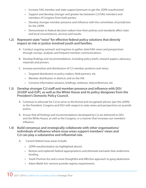- » Increase SAG member and state support/pressure to get the JJDPA reauthorized.
- » Support and develop stronger and greater ties between CJJ/SAG members and members of Congress from both parties.
- Develop stronger member presence and influence with the committees of jurisdiction » for the JJDPA.
- » Demonstrate to federal decision makers how their policies and standards affect state and local circumstances, services and results.

#### **1.2) Represent state "voice" for effective federal policy solutions that directly impact at-risk or justice-involved youth and families.**

- A. Conduct ongoing outreach and inquiries to gather state/SAG views and perspectives through surveys, analyses and frequent member communications.
- Develop findings and recommendations, including policy briefs, research papers, advocacy B. materials and primers.
- C. Increase promotion and distribution of CJJ member positions and views:
	- Targeted distribution to policy makers, field partners, etc. »
	- Member distribution in districts and on the Hill. »
	- Convene information sessions, briefings, webinars, teleconferences, etc. »

#### **1.3) Develop stronger CJJ staff and member presence and influence with DOJ (OJJDP and OJP), as well as the White House and its policy designees from the President's Domestic Policy Council.**

- A. Continue to advocate for CJJ to serve as the formal and recognized advisor (per the JJDPA) to the President, Congress and DOJ with respect to state views and perspectives on juvenile justice.
- Ensure that all findings and recommendations developed by CJJ are delivered to DOJ B. and the White House, as well as the Congress, in a manner that increases our members' influence.

#### **1.4) Build consensus and strategically collaborate with other organizations/ individuals of influence where issue areas support members' views and CJJ can play a substantive and influential role.**

- Current federal issue areas include:  $A<sub>1</sub>$ 
	- JJDPA reauthorization (as highlighted above). »
	- Restore and replenish federal appropriations and eliminate earmarks that undermine » funding.
	- » Youth Promise Act and a more thoughtful and effective approach to gang abatement.
	- Adam Walsh Act: remove juvenile registry requirements. »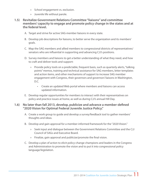- » School engagement vs. exclusion.
- Juvenile life without parole. »

#### **1.5) Revitalize Government Relations Committee "liaisons" and committee members' capacity to engage and promote policy change in the states and at the federal level.**

- A. Target and strive for active SAG-member liaisons in every state.
- Develop job descriptions for liaisons, to better serve the organization and its members' B. goals.
- Map the SAG members and allied members to congressional districts of representatives/ C. senators who are influential in supporting and advancing CJJ's positions.
- D. Survey members and liaisons to get a better understanding of what they need, and how to craft and deliver tools and support:
	- » Provide policy tools on a predictable, frequent basis, such as quarterly alerts, "talking points" memos, training and technical assistance for SAG members, letter templates and action items, and other mechanisms of support to increase SAG member engagement with Congress, their governors and governors' liaisons in Washington, D.C.
		- Create an updated Web portal where members and liaisons can access updated information.
- E. Develop regular opportunities for members to interact with their representatives on policy and practice issues at home, as well as during CJJ's annual Hill Day.

#### **1.6) No later than fall 2013, develop, publicize and advance a member-defined "2020 Vision for Optimal Federal Juvenile Justice Policy."**

- A. Create a work group to guide and develop a survey/feedback tool to gather members' thoughts and ideas.
- B. Develop and gain approval for a member-informed framework for the "2020 Vision."
	- » Seek input and dialogue between the Government Relations Committee and the CJJ Council of SAGs and Executive Board.
	- Finalize, gain approval and publicize/promote the final vision. »
- Develop a plan of action to elicit policy-change champions and leaders in the Congress C.and Administration to promote the vision and to put it into congressional policy language/legislation.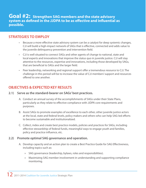#### **Goal #2: Strengthen SAG members and the state advisory system as defined in the JJDPA to be as effective and influential as possible.**

#### **Strategies to Employ**

- Because a more effective state advisory system can be a catalyst for deep systemic changes, CJJ will build a high-impact network of SAGs that is effective, connected and adds value to the juvenile delinquency prevention and intervention field. •
- CJJ is well situated to connect SAGs and other agents of change to national, state and local experts and innovations that improve the status quo in juvenile justice. CJJ will stay attentive to the resources, expertise and innovations, including those developed by SAGs, that are beneficial to SAGs and the larger field.
- Peer leadership, networking and regional support offer a tremendous resource to CJJ. The challenge in this period will be to increase the value of CJJ members' support and resources offered to one another.

#### **OBJECTIVES & EXPECTED KEY RESULTS**

#### **2.1) Serve as the standard-bearer on SAGs' best practices.**

- Conduct an annual survey of the accomplishments of SAGs under their State Plans, A. particularly as they relate to effective compliance with JJDPA core requirements and purposes.
- Assist SAGs to promote examples of excellence to each other, other juvenile justice actors B. at the local, state and federal levels, policy makers and others who can help SAG-led efforts to become sustainable and institutionalized.
- C. Collect, index and create best practice models, policies and practices for SAGs, including effective stewardship of federal funds, meaningful ways to engage youth and families, policy and practice influence, etc.

#### **2.2) Promote optimal SAG governance and operation.**

- A. Develop capacity and an action plan to create a Best Practice Guide for SAG Effectiveness, including topics such as:
	- SAG governance (leadership, bylaws, roles and responsibilities). »
	- Maximizing SAG member involvement in understanding and supporting compliance » monitoring.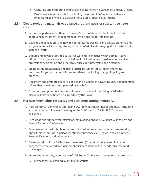- Capturing and promoting effective and comprehensive State Plans and DMC Plans. »
- Performance metrics for SAGs, including measures of SAG member influence, » impact and ability to leverage additional public/private investments.

#### **2.3) Create tools and materials to advance program goals or substantive issue areas.**

- A. Produce or partner with others to develop Youth SAG Member best practice tools, addressing recruitment, engagement, retention and leadership training.
- Develop a toolkit addressing how to coordinate federal, state and private grant making B. for greater impact, including strategic use of SAG dollars/leveraging SAG investments for systemic reform.
- Explore and develop tools to assist SAGs work more effectively with administrative C. offices of the courts, state and local judges, individual judicial districts, court services professionals, probation and others to reduce court processing and detention.
- D. Create technical assistance and best practice documents focused on improving outcomes for youth charged with status offenses, including changes in policy and practice.
- E. Document and promote effective policies and practices in advancing JDAI and detention reform that can/should be supported by the SAGs.
- F. Document and promote effective policies and practices in resolving racial/ethnic disparities that can/should be supported by the SAGs.

#### **2.4) Increase knowledge, resources and exchange among members.**

- A. Hold an Annual Conference addressing SAG-defined content needs and goals, including an annual leadership event/meeting for the CJJ Council of SAGs (SAG Chairs and designees).
- Encourage and support voluntary leadership of Regions and SAGs that wish to host and B. finance Regional Conferences.
- C. Provide members with both formal and informal information-sharing and networking opportunities through in-person meetings, conference calls, regions and committees, listservs, Facebook and other means.
- D. Develop and publish a SAG-focused newsletter (CJJ e-Monitor) at least nine times per year to be delivered by email, emphasizing content on SAG needs, successes and challenges.
- E. Improve functionality, accessibility of SAG Source™. Revamp descriptions, indexes, etc.:
	- » Increase the quality and quantity of materials.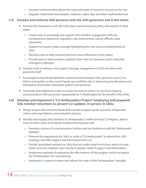- » Increase communication about the value and types of resources housed on the site.
- Upgrade multimedia functionality: webinars, video clips and other multimedia tools. »

#### **2.5) Increase and enhance SAG presence and role with governors and in the states.**

- A. Promote the importance and role SAGs play in juvenile justice policy and practice in their states.
	- Create tools to encourage and support SAG member engagement with key » constituencies (governors, legislators, law enforcement, county officials, state advocates).
	- » Support increased media coverage highlighting the role and accomplishments of SAGs.
	- Develop tools to help members become more influential in their states. »
	- » Provide tools to help members optimize their roles as conveners and to stimulate interagency dialogue.
- B. Develop tools to enhance and support strategic engagement of SAG members with governors/staff.
- Encourage increased/standardized communication between SAG, governors and CJJ to C. inform and update on the current landscape and their role in advancing juvenile justice and delinquency prevention standards, policies and practices.
- D. Formulate and implement a plan on action for ways in which CJJ can have ongoing communication with governors' representatives in Washington for the benefit of the SAGs.

#### **2.6) Develop and implement a "CJJ Ambassadors Project" employing well-prepared SAG member-volunteers to present CJJ updates, in-person, to SAGs.**

- Design project plan and time frame that includes program goals, activities, ambassador A. criteria and expectations, and evaluation process.
- B. Identify and engage SAG members as "Ambassadors," within the four CJJ Regions, able to travel to other states and attend monthly informational calls:
	- Develop a system of communication (written and via conference calls) for "Ambassador » Updates."
	- » Promote the opportunity for SAGs to invite a "CJJ Ambassador" to attend their SAG meetings and offer support and information from CJJ.
	- » Provide specialized outreach to SAGs that are under travel restrictions and/or to new Chairs and new members who may be in greater need of support and information.
	- » Implement methods of evaluating the effectiveness of the program and to recognize the "Ambassadors" for volunteering.
	- Implement a system to renew and refresh the ranks of the "Ambassadors" annually. »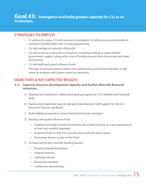#### **Goal #3: Strengthen and build greater capacity for CJJ as an institution.**

#### **Strategies to Employ**

- To achieve its vision, CJJ will continue to strengthen its infrastructure and provide its members and field allies with strong programming.
- CJJ will manage its resources efficiently. •
- CJJ will continue to diversify its resources, including working to regain federal government support, along with a mix of funding sources from the private and state/ local sectors.
- CJJ will build and guard a Reserve Fund. •
- Through an annual systemic review of its performance and lessons learned, CJJ will assess its progress and course-correct as necessary.

#### **OBJECTIVES & KEY EXPECTED RESULTS**

- **3.1) Improve resource development capacity and further diversify financial resources.**
	- Develop and implement a Web-based giving program for CJJ's website and Facebook A. page.
	- Explore and implement ways to add grant development staff support for the CJJ B. Executive Director and Board.
	- C. Build additional earned income/unrestricted income strategies.
	- D. Develop and guard a Reserve Fund.
		- Establish and make annual investments into a Reserve Fund, at a rate equivalent to » at least two-months' expenses.
		- Guard the fund so that it is a priority and cannot be spent down. »
		- Encourage donors to give to the Fund. »
	- E. Increase and further diversify funding sources:
		- Private funding/foundations »
		- Federal contracts »
		- Individual donors »
		- Board and members »
		- Conference sponsorships »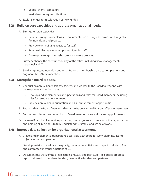- Special events/campaigns. »
- » In-kind/voluntary contributions.
- F. Explore longer-term cultivation of new funders.

#### **3.2) Build on core capacities and address organizational needs.**

- A. Strengthen staff capacities:
	- Provide stronger work plans and documentation of progress toward work objectives » for individuals and projects.
	- Provide team building activities for staff. »
	- » Provide skill enhancement opportunities for staff.
	- Develop a stronger internship program across projects. »
- B. Further enhance the core functionality of the office, including fiscal management, personnel and IT.
- C. Build a significant individual and organizational membership base to complement and augment the SAG member base.

#### **3.3) Strengthen Board capacity.**

- Conduct an annual Board self-assessment, and work with the Board to respond with A. development and action plans.
	- Develop and implement clear expectations and roles for Board members, including » roles for resource development.
	- Provide annual Board orientation and skill enhancement opportunities. »
- B. Request that the Board finance and organize its own annual Board-staff planning retreats.
- C. Support recruitment and retention of Board members via elections and appointments.
- D. Increase Board involvement in promoting the programs and projects of the organization and helping all members to fully understand CJJ's value and scope of work.

#### **3.4) Improve data collection for organizational assessment.**

- A. Create and implement a transparent, accessible dashboard for work planning, listing objectives met and pending.
- B. Develop metrics to evaluate the quality, member receptivity and impact of all staff, Board and committee/member functions of CJJ.
- C. Document the work of the organization, annually and post-audit, in a public progress report delivered to members, funders, prospective funders and partners.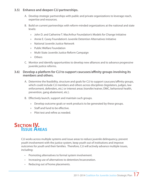#### **3.5) Enhance and deepen CJJ partnerships.**

- A. Develop strategic partnerships with public and private organizations to leverage reach, expertise and resources.
- B. Build on current partnerships with reform-minded organizations at the national and state levels:
	- John D. and Catherine T. MacArthur Foundation's Models for Change Initiative »
	- Annie E. Casey Foundation's Juvenile Detention Alternatives Initiative »
	- National Juvenile Justice Network »
	- » Public Welfare Foundation
	- Multi-State Juvenile Justice Reform Campaign »
	- Others »
- Monitor and identify opportunities to develop new alliances and to advance progressive C. juvenile justice reforms.

#### **3.6) Develop a platform for CJJ to support caucuses/affinity groups involving its members and others.**

- A. Determine the feasibility, structure and goals for CJJ to support caucuses/affinity groups, which could include CJJ members and others across disciplines (legislators, judges, law enforcement, defenders, etc.) or interest areas (transfer/waiver, DMC, behavioral health, prevention, gang abatement, etc.).
- Effectively launch, support and maintain such groups. B.
	- Develop outcome goals or work products to be generated by these groups. »
	- » Staff and fund to be effective.
	- Pilot test and refine as needed. »

### **Section IV. Issue Areas**

CJJ works across multiple systems and issue areas to reduce juvenile delinquency, prevent youth involvement with the justice system, keep youth out of institutions and improve outcomes for youth and their families. Therefore, CJJ will actively advance multiple issues, including:

- Promoting alternatives to formal system involvement. •
- Increasing use of alternatives to detention/incarceration.
- Reducing out of home placements.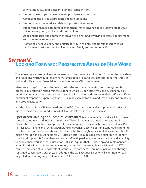- Eliminating racial/ethnic disparities in the justice system. •
- Promoting use of youth development principles and practices. •
- Advocating use of age-appropriate and safe sanctions. •
- Promoting comprehensive and data-supported interventions. •
- Supporting enhanced accountability mechanisms to advance public safety and positive outcomes for youth, families and communities. •
- Opposing policies and approaches proven to be harmful, involving excessive punishment and/or extreme sentencing.
- Promoting effective policy and practice for youth re-entry and transitions from court involvement/justice system involvement into family and community life.

# **Section V. Looking Forward: Prospective Areas of New Work**

The following are prospective areas of new work that warrant exploration. For now, they are ideas and functions which would require new staffing capacities and skill sets and/or partnerships, as well as significant new financial resources in order for CJJ to implement.

Many are asking CJJ to consider how to be bolder and more impactful. Yet, throughout this process a big question raised was the extent to which CJJ can effectively and sustainably play multiple roles as a national association given its slim budget and over-extended staff. A significant number of respondents perceive that CJJ is already spread too thin and that quality and creativity and productivity suffer.

It is the charge of the CJJ Board to determine if CJJ's organizational development priorities will move in these directions and, if so, what it would take to succeed in doing so.

**Specialized Training and Technical Assistance:** Many members would like CJJ to provide specialized training and technical assistance (TTA) tailored to state needs, interests and State Plans. It has been on the drawing board for several years to develop a business model for a Peerto-Peer SAG Training and Technical Assistance Network in absence of significant federal funding. One key question is whether states will value such TTA enough to pay for it at a level which will make it feasible and sustainable for CJJ. Such an effort requires dedicated staff time to identify, coach and support SAG members and state staff with particular areas of expertise, and an ability to enable their work in other jurisdictions. It also requires that CJJ develop and implement an administrative infrastructure and marketing/promotional strategy. It is envisioned that TTA could be provided at varying levels of intensity – remote access, online, in person and through sustained consultation/presence. In addition, the CJJ Executive Director will continue to seek major federal funding support to restore TTA functions to CJJ.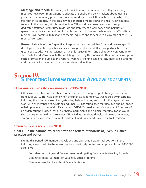**Message and Media:** It is widely felt that CJJ would be more impactful by increasing its media outreach/communications to educate the public and policy makers about juvenile justice and delinquency prevention concerns and successes. CJJ has a basis from which to strengthen its capacity in this area having conducted media outreach and SAG-level media training in the past. Yet, at this point in time, CJJ would need new resources to support dedicated staff/consultant time to design and implement a well-honed and persuasive general communications and public media program. In the meanwhile, select staff and Board members will continue to respond to media inquiries and to seek media coverage of core CJJ/ member concerns.

**Research-to-Practice Capacity:** Respondents suggested that CJJ could be stronger if it develops a research-to-practice capacity through additional staff and/or partnerships. There is great need to advance the "science" of juvenile justice reform and delinquency prevention to show "what works," to evaluate the work begin done by the SAGs and other partners to capture such information in publications, reports, webinars, training sessions, etc. Here, too, planning and staff capacity is needed to launch in this new direction.

## **Section IV. Supporting Information and Acknowledgements**

#### **Highlights of Prior Accomplishments: 2005-2010**

CJJ has used its staff and member resources very well during the past Strategic Plan period, from 2005-2010. This was a time when the financial footing of CJJ was rocked by uncertainty following the complete loss of long-standing federal funding support for the organization's work with its member-SAGs. During and since, CJJ has found itself marginalized and no longer relied upon as a partner of significance with OJJDP. Ordinarily, loss of more than 80 percent of an organization's budget, loss of a principal partnership and political marginalization would shut an organization down. However, CJJ rallied its members, developed new partnerships, strengthened its operations, revitalized its staff and Board and stayed true to its mission.

#### **Strategic Goals for 2005-2010**

#### **Goal 1: Be the national voice for state and federal standards of juvenile justice practice and policy.**

During this period, CJJ members developed and approved new, formal positions in the following areas to add to the seven positions previously crafted and approved from 1983-2005, as follows:

- Consideration of Age and Development as Mitigating Factors in Sentencing Juveniles •
- Eliminate Federal Earmarks on Juvenile Justice Programs •
- Eliminate Juvenile Life without Parole Sentence •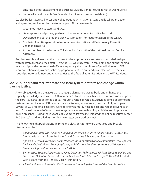- Ensuring School Engagement and Success vs. Exclusion for Youth at Risk of Delinquency •
- Remove Federal Juvenile Sex Offender Requirements (Adam Walsh Act)

CJJ also built strategic alliances and collaborations with national, state and local organizations and agencies, as directed by the strategic plan. Notable examples:

- Greater outreach to states and SAGs. •
- Fiscal sponsor and primary partner to the National Juvenile Justice Network. •
- Developed and co-chaired the "Act-4-JJ Campaign" for reauthorization of the JJDPA.
- Co-chair of multi-organization National Juvenile Justice and Delinquency Prevention Coalition (NJJDPC).
- Active member of the National Collaboration for Youth of the National Human Services Assembly.

Another key objective under this goal was to develop, cultivate and strengthen relationships with policy makers and their staff. Here, too, CJJ was successful in rebuilding and strengthening relationships with congressional offices – especially the committees of jurisdiction for JJDPA reauthorization and juvenile justice appropriations. Both pre- and post-election, CJJ made a special point to build new and renewed ties to the federal administration and the White House.

#### **Goal 2: Support and facilitate state and local systemic reform and change within juvenile justice.**

A key objective during the 2005-2010 strategic plan period was to build and enhance the capacity, knowledge and skills of CJJ members. CJJ undertook activities to promote knowledge in the core issue areas mentioned above, through a range of vehicles. Activities aimed at promoting systemic reform included CJJ's annual national training conferences, held faithfully each year. Several of CJJ's regional coalitions were able to voluntarily host at least one regional event each year. CJJ also bolstered efforts to host long-distance/remote learning activities and improve its online presence. During these years, CJJ revamped its website, initiated the online resource center SAG Source™, and fortified its monthly newsletter delivered by email.

The following eight publications (in print and electronic form) were produced and broadly disseminated by CJJ:

- *Childhood on Trial: The Failure of Trying and Sentencing Youth in Adult Criminal Court*, 2005, *•* funded with a grant from the John D. and Catherine T. MacArthur Foundation.
- Applying Research to Practice Brief: What Are the Implications of Adolescent Brain Development *for Juvenile Justice?* and *Emerging Concepts Brief: What Are the Implications of Adolescent Brain Development for Juvenile Justice?*, 2006.
- Best Practice Bulletin: Supporting Juvenile Detention Reform in JJDPA State Three Year Plans and *State-Level Detention Reform: A Practice Guide for State Advisory Groups*, 2007-2008, funded with a grant from the Annie E. Casey Foundation.
- A Pivotal Moment: Sustaining the Success and Enhancing the Future of the Juvenile Justice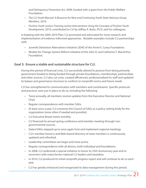*and Delinquency Prevention Act*, 2009, funded with a grant from the Public Welfare Foundation.

- *The CJJ Youth Manual: A Resource for New and Continuing Youth State Advisory Group Members*, 2010. *•*
- Positive Youth Justice: Framing Justice Interventions Using the Concepts of Positive Youth *Development*, 2010, contributed to CJJ by Jeffrey A. Butts, Ph.D. and his colleagues.

In keeping with the 2005-2010 Plan, CJJ promoted and advocated for more research and implementation of evidence-informed approaches. Notable examples include CJJ partnerships with:

- Juvenile Detention Alternatives Initiative (JDAI) of the Annie E. Casey Foundation. •
- Models for Change System Reform Initiative of the John D. and Catherine T. MacArthur Foundation.

#### **Goal 3: Ensure a stable and sustainable structure for CJJ.**

During this period of financial crisis, CJJ successfully altered its posture from being primarily government funded to being funded through private foundations, memberships, partnerships and other sources. CJJ also cut costs, created efficiencies, professionalized its staff and updated its bylaws and governance structure to conform to nonprofit norms and future needs.

CJJ has strengthened its communication with members and constituents. Specific protocols and practices were put in place to do so, including the following:

- Twice annually, all members receive updates from the Executive Director and National Chair.
- Regular correspondence with member SAGs.
- At least once a year, CJJ convenes the Council of SAGs as a policy-setting body for the organization (more often if needed and possible).
- CJJ Executive Board meets monthly. •
- CJJ financed its annual spring conference and member meeting through non-• governmental sources.
- States/SAGs stepped up to once again host and implement regional meetings.
- CJJ's member listservs and Web-based directory of state members is continuously updated and refreshed.
- Leadership committees are larger and more active. •
- Regular correspondence with all donors, both individual and foundations.
- In 2008, CJJ undertook a special initiative to honor its 25th Anniversary year and to reconnect with many former national CJJ leaders and awardees.
- In 2010, CJJ produced its initial nonprofit progress report and will continue to do so each year. •
- CJJ has greatly enhanced and reorganized its data management during this period. •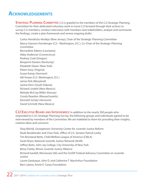### **Acknowledgements**

**STRATEGIC PLANNING COMMITTEE:** CJJ is grateful to the members of the CJJ Strategic Planning Committee for their dedicated voluntary work to move CJJ forward through their actions to survey CJJ members, conduct interviews with members and stakeholders, analyze and summarize the findings, create a plan framework and review ongoing drafts.

Carlos Hendricks-Verdejo (New Jersey), Chair of the Strategic Planning Committee Nancy Gannon Hornberger (CJJ - Washington, D.C.), Co-Chair of the Strategic Planning **Committee** Bernardine Adams (Louisiana) Abby Anderson (Connecticut) Rodney Cook (Oregon) Benjamin Deaton (Kentucky) Elizabeth Glazer (New York) Eileen Grey (Virginia) Susan Kamp (Vermont) Idit Knaan (CJJ- Washington, D.C.) James Kirk (Maryland) Janine Kern (South Dakota) Richard Lindahl (New Mexico) Melody McCray-Miller (Kansas) Cecely Reardon (Massachusetts) Kenneth Schatz (Vermont)

David Schmidt (New Mexico)

**CJJ Executive Board and Interviewees:** In addition to the nearly 300 people who responded to CJJ's Strategic Planning Survey, the following groups and individuals agreed to be interviewed by members of the Committee. We are indebted to them for providing their insights, creative ideas and concerns:

Shay Bilchik, Georgetown University Center for Juvenile Justice Reform Noah Bookbinder and Chan Park, Office of U.S. Senator Patrick Leahy Tim Briceland-Betts, Child Welfare League of America (CWLA) Sarah Bryer, National Juvenile Justice Network (NJJN) Jeffrey Butts, John Jay College, City University of New York Betsy Clarke, Illinois Juvenile Justice Alliance Richard Gardell, Minnesota SAG and the OJJDP Federal Advisory Committee on Juvenile Justice Laurie Garduque, John D. and Catherine T. MacArthur Foundation Bart Lubow, Annie E. Casey Foundation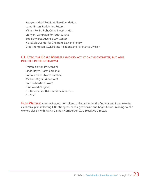Katayoon Majd, Public Welfare Foundation Laura Nissen, Reclaiming Futures Miriam Rollin, Fight Crime Invest in Kids Liz Ryan, Campaign for Youth Justice Bob Schwartz, Juvenile Law Center Mark Soler, Center for Children's Law and Policy Greg Thompson, OJJDP State Relations and Assistance Division

#### **CJJ Executive Board Members who did not sit on the committee, but were included in the interviews:**

Deirdre Garton (Wisconsin) Linda Hayes (North Carolina) Robin Jenkins (North Carolina) Michael Mayer (Minnesota) Brad Richardson (Iowa) Gina Wood (Virginia) CJJ National Youth Committee Members CJJ Staff

PLAN WRITERS: Alexa Aviles, our consultant, pulled together the findings and input to write a cohesive plan reflecting CJJ's strengths, needs, goals, tasks and bright future. In doing so, she worked closely with Nancy Gannon Hornberger, CJJ's Executive Director.